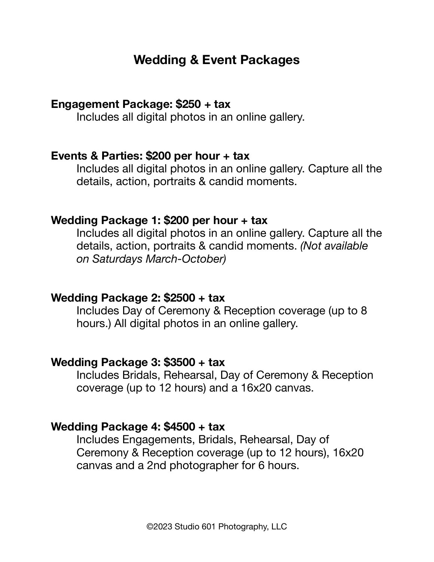# **Wedding & Event Packages**

## **Engagement Package: \$250 + tax**

Includes all digital photos in an online gallery.

## **Events & Parties: \$200 per hour + tax**

Includes all digital photos in an online gallery. Capture all the details, action, portraits & candid moments.

#### **Wedding Package 1: \$200 per hour + tax**

Includes all digital photos in an online gallery. Capture all the details, action, portraits & candid moments. *(Not available on Saturdays March-October)* 

## **Wedding Package 2: \$2500 + tax**

Includes Day of Ceremony & Reception coverage (up to 8 hours.) All digital photos in an online gallery.

#### **Wedding Package 3: \$3500 + tax**

Includes Bridals, Rehearsal, Day of Ceremony & Reception coverage (up to 12 hours) and a 16x20 canvas.

## **Wedding Package 4: \$4500 + tax**

Includes Engagements, Bridals, Rehearsal, Day of Ceremony & Reception coverage (up to 12 hours), 16x20 canvas and a 2nd photographer for 6 hours.